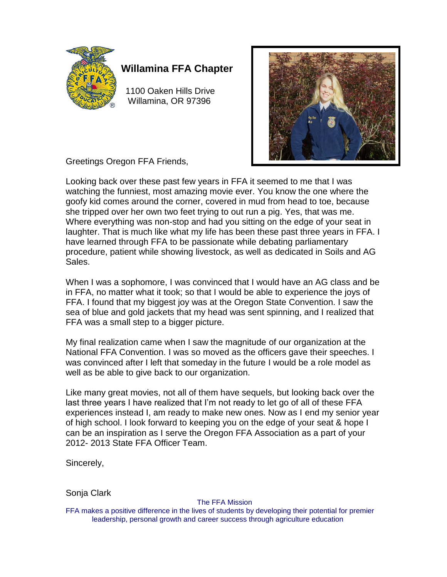

# **Willamina FFA Chapter**

 1100 Oaken Hills Drive Willamina, OR 97396



Greetings Oregon FFA Friends,

Looking back over these past few years in FFA it seemed to me that I was watching the funniest, most amazing movie ever. You know the one where the goofy kid comes around the corner, covered in mud from head to toe, because she tripped over her own two feet trying to out run a pig. Yes, that was me. Where everything was non-stop and had you sitting on the edge of your seat in laughter. That is much like what my life has been these past three years in FFA. I have learned through FFA to be passionate while debating parliamentary procedure, patient while showing livestock, as well as dedicated in Soils and AG Sales.

When I was a sophomore, I was convinced that I would have an AG class and be in FFA, no matter what it took; so that I would be able to experience the joys of FFA. I found that my biggest joy was at the Oregon State Convention. I saw the sea of blue and gold jackets that my head was sent spinning, and I realized that FFA was a small step to a bigger picture.

My final realization came when I saw the magnitude of our organization at the National FFA Convention. I was so moved as the officers gave their speeches. I was convinced after I left that someday in the future I would be a role model as well as be able to give back to our organization.

Like many great movies, not all of them have sequels, but looking back over the last three years I have realized that I'm not ready to let go of all of these FFA experiences instead I, am ready to make new ones. Now as I end my senior year of high school. I look forward to keeping you on the edge of your seat & hope I can be an inspiration as I serve the Oregon FFA Association as a part of your 2012- 2013 State FFA Officer Team.

Sincerely,

Sonja Clark

The FFA Mission

FFA makes a positive difference in the lives of students by developing their potential for premier leadership, personal growth and career success through agriculture education